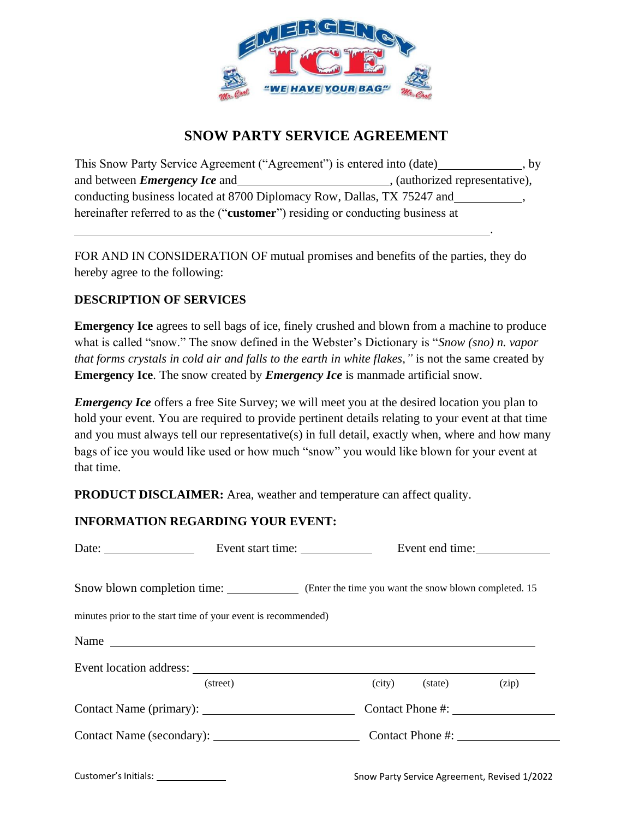

## **SNOW PARTY SERVICE AGREEMENT**

This Snow Party Service Agreement ("Agreement") is entered into (date) \_\_\_\_\_\_\_\_\_\_\_, by and between *Emergency Ice* and , (authorized representative), conducting business located at 8700 Diplomacy Row, Dallas, TX 75247 and , , hereinafter referred to as the ("**customer**") residing or conducting business at

FOR AND IN CONSIDERATION OF mutual promises and benefits of the parties, they do hereby agree to the following:

## **DESCRIPTION OF SERVICES**

**Emergency Ice** agrees to sell bags of ice, finely crushed and blown from a machine to produce what is called "snow." The snow defined in the Webster's Dictionary is "*Snow (sno) n. vapor that forms crystals in cold air and falls to the earth in white flakes,"* is not the same created by **Emergency Ice**. The snow created by *Emergency Ice* is manmade artificial snow.

*Emergency Ice* offers a free Site Survey; we will meet you at the desired location you plan to hold your event. You are required to provide pertinent details relating to your event at that time and you must always tell our representative(s) in full detail, exactly when, where and how many bags of ice you would like used or how much "snow" you would like blown for your event at that time.

**PRODUCT DISCLAIMER:** Area, weather and temperature can affect quality.

## **INFORMATION REGARDING YOUR EVENT:**

| Date: $\frac{1}{\sqrt{1-\frac{1}{2}} \cdot \frac{1}{2}}$      | Event start time:                                                                 |  |  |                | Event end time:  |
|---------------------------------------------------------------|-----------------------------------------------------------------------------------|--|--|----------------|------------------|
|                                                               | Snow blown completion time: Chater the time you want the snow blown completed. 15 |  |  |                |                  |
| minutes prior to the start time of your event is recommended) |                                                                                   |  |  |                |                  |
| Name                                                          |                                                                                   |  |  |                |                  |
|                                                               |                                                                                   |  |  |                |                  |
|                                                               | (street)                                                                          |  |  | (city) (state) | (zip)            |
|                                                               |                                                                                   |  |  |                | Contact Phone #: |
|                                                               |                                                                                   |  |  |                | Contact Phone #: |
|                                                               |                                                                                   |  |  |                |                  |

Customer'sInitials: Snow Party Service Agreement, Revised 1/2022

.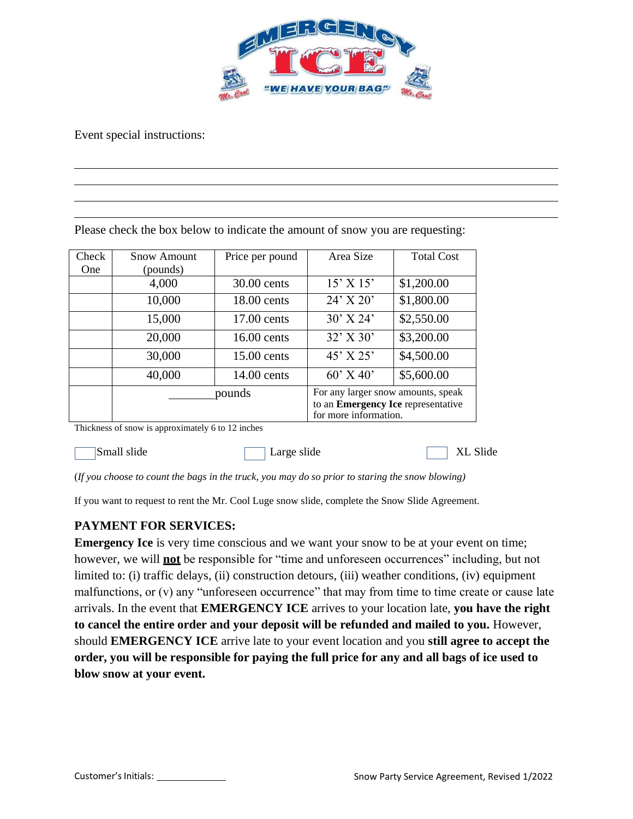

Event special instructions:

|                     |                         | Please check the box below to indicate the amount of snow you are requesting: |                                                                                                          |                   |
|---------------------|-------------------------|-------------------------------------------------------------------------------|----------------------------------------------------------------------------------------------------------|-------------------|
| Check<br><b>One</b> | Snow Amount<br>(pounds) | Price per pound                                                               | Area Size                                                                                                | <b>Total Cost</b> |
|                     | 4,000                   | 30.00 cents                                                                   | $15'$ X $15'$                                                                                            | \$1,200.00        |
|                     | 10,000                  | 18.00 cents                                                                   | $24'$ X $20'$                                                                                            | \$1,800.00        |
|                     | 15,000                  | $17.00$ cents                                                                 | $30'$ X 24'                                                                                              | \$2,550.00        |
|                     | 20,000                  | $16.00$ cents                                                                 | $32'$ X 30'                                                                                              | \$3,200.00        |
|                     | 30,000                  | 15.00 cents                                                                   | $45'$ X 25'                                                                                              | \$4,500.00        |
|                     | 40,000                  | 14.00 cents                                                                   | $60'$ X 40'                                                                                              | \$5,600.00        |
|                     | pounds                  |                                                                               | For any larger snow amounts, speak<br>to an <b>Emergency Ice</b> representative<br>for more information. |                   |

Thickness of snow is approximately 6 to 12 inches

Small slide **Large slide** Energy Small slide Small slide

(*If you choose to count the bags in the truck, you may do so prior to staring the snow blowing)*

If you want to request to rent the Mr. Cool Luge snow slide, complete the Snow Slide Agreement.

## **PAYMENT FOR SERVICES:**

**Emergency Ice** is very time conscious and we want your snow to be at your event on time; however, we will **not** be responsible for "time and unforeseen occurrences" including, but not limited to: (i) traffic delays, (ii) construction detours, (iii) weather conditions, (iv) equipment malfunctions, or (v) any "unforeseen occurrence" that may from time to time create or cause late arrivals. In the event that **EMERGENCY ICE** arrives to your location late, **you have the right to cancel the entire order and your deposit will be refunded and mailed to you.** However, should **EMERGENCY ICE** arrive late to your event location and you **still agree to accept the order, you will be responsible for paying the full price for any and all bags of ice used to blow snow at your event.**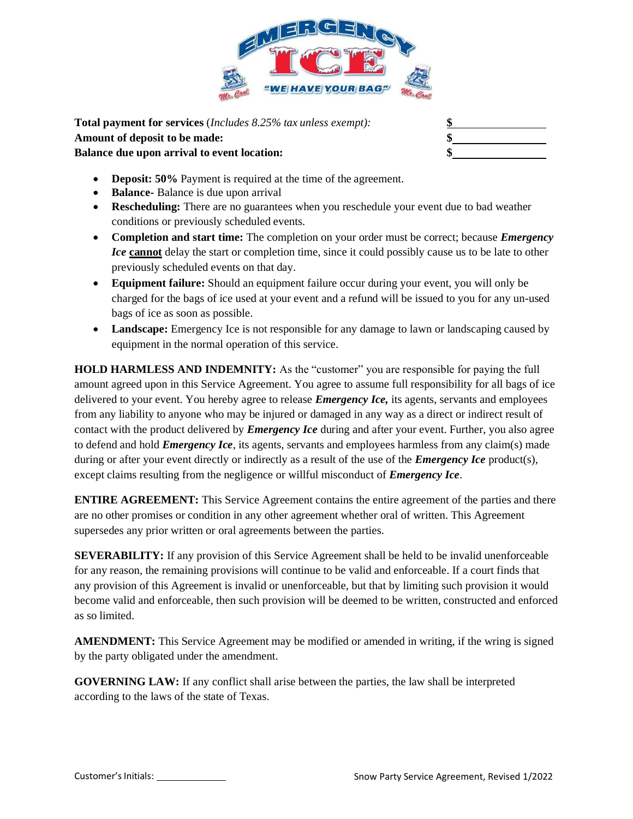

**Total payment for services** (*Includes 8.25% tax unless exempt):* **\$ Amount of deposit to be made: \$ Balance due upon arrival to event location: \$**

- **Deposit: 50%** Payment is required at the time of the agreement.
- **Balance-** Balance is due upon arrival
- **Rescheduling:** There are no guarantees when you reschedule your event due to bad weather conditions or previously scheduled events.
- **Completion and start time:** The completion on your order must be correct; because *Emergency Ice* **cannot** delay the start or completion time, since it could possibly cause us to be late to other previously scheduled events on that day.
- **Equipment failure:** Should an equipment failure occur during your event, you will only be charged for the bags of ice used at your event and a refund will be issued to you for any un-used bags of ice as soon as possible.
- Landscape: Emergency Ice is not responsible for any damage to lawn or landscaping caused by equipment in the normal operation of this service.

**HOLD HARMLESS AND INDEMNITY:** As the "customer" you are responsible for paying the full amount agreed upon in this Service Agreement. You agree to assume full responsibility for all bags of ice delivered to your event. You hereby agree to release *Emergency Ice,* its agents, servants and employees from any liability to anyone who may be injured or damaged in any way as a direct or indirect result of contact with the product delivered by *Emergency Ice* during and after your event. Further, you also agree to defend and hold *Emergency Ice*, its agents, servants and employees harmless from any claim(s) made during or after your event directly or indirectly as a result of the use of the *Emergency Ice* product(s), except claims resulting from the negligence or willful misconduct of *Emergency Ice*.

**ENTIRE AGREEMENT:** This Service Agreement contains the entire agreement of the parties and there are no other promises or condition in any other agreement whether oral of written. This Agreement supersedes any prior written or oral agreements between the parties.

**SEVERABILITY:** If any provision of this Service Agreement shall be held to be invalid unenforceable for any reason, the remaining provisions will continue to be valid and enforceable. If a court finds that any provision of this Agreement is invalid or unenforceable, but that by limiting such provision it would become valid and enforceable, then such provision will be deemed to be written, constructed and enforced as so limited.

**AMENDMENT:** This Service Agreement may be modified or amended in writing, if the wring is signed by the party obligated under the amendment.

**GOVERNING LAW:** If any conflict shall arise between the parties, the law shall be interpreted according to the laws of the state of Texas.

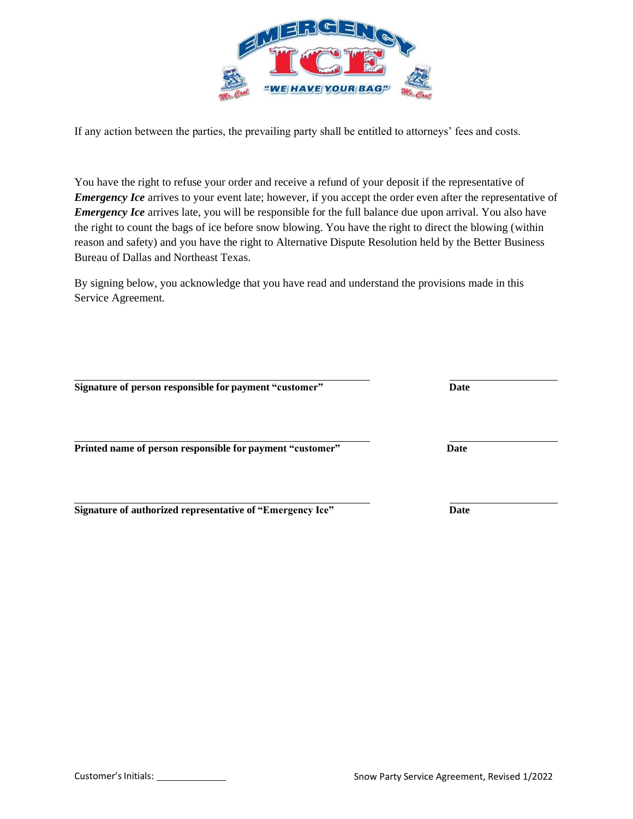

If any action between the parties, the prevailing party shall be entitled to attorneys' fees and costs.

You have the right to refuse your order and receive a refund of your deposit if the representative of *Emergency Ice* arrives to your event late; however, if you accept the order even after the representative of *Emergency Ice* arrives late, you will be responsible for the full balance due upon arrival. You also have the right to count the bags of ice before snow blowing. You have the right to direct the blowing (within reason and safety) and you have the right to Alternative Dispute Resolution held by the Better Business Bureau of Dallas and Northeast Texas.

By signing below, you acknowledge that you have read and understand the provisions made in this Service Agreement.

**Signature of person responsible forpayment "customer" Date**

**Printed name of person responsible forpayment "customer" Date**

**Signature of authorized representative of "Emergency Ice" Date**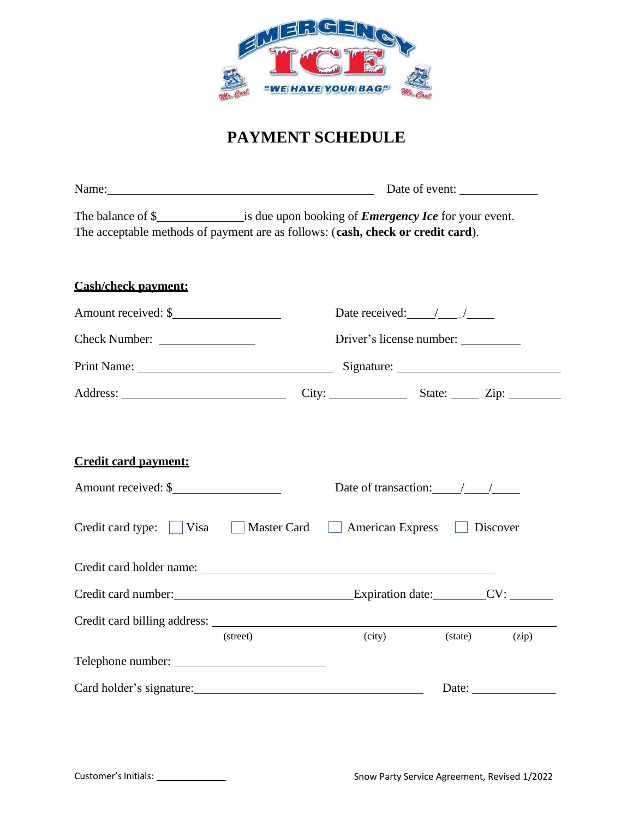

# **PAYMENT SCHEDULE**

| The acceptable methods of payment are as follows: (cash, check or credit card). |          |                                                               |         |       |  |  |
|---------------------------------------------------------------------------------|----------|---------------------------------------------------------------|---------|-------|--|--|
| <b>Cash/check payment:</b>                                                      |          |                                                               |         |       |  |  |
|                                                                                 |          | Date received: $\angle$                                       |         |       |  |  |
|                                                                                 |          | Driver's license number:                                      |         |       |  |  |
|                                                                                 |          |                                                               |         |       |  |  |
|                                                                                 |          | City: State: Zip:                                             |         |       |  |  |
| <b>Credit card payment:</b><br>Amount received: \$                              |          | Date of transaction: $\_\_\_\_\_\_\_\_\_\_\_\_\_\_\_\_\_\_\_$ |         |       |  |  |
| Credit card type: Visa Master Card American Express Discover                    |          |                                                               |         |       |  |  |
|                                                                                 |          |                                                               |         |       |  |  |
|                                                                                 | (street) | (city)                                                        | (state) | (zip) |  |  |
|                                                                                 |          |                                                               |         |       |  |  |
|                                                                                 |          |                                                               |         | Date: |  |  |